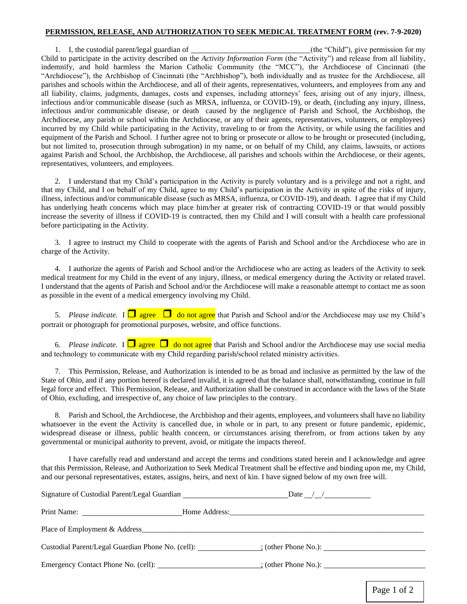## **PERMISSION, RELEASE, AND AUTHORIZATION TO SEEK MEDICAL TREATMENT FORM (rev. 7-9-2020)**

1. I, the custodial parent/legal guardian of (the "Child"), give permission for my Child to participate in the activity described on the *Activity Information Form* (the "Activity") and release from all liability, indemnify, and hold harmless the Marion Catholic Community (the "MCC"), the Archdiocese of Cincinnati (the "Archdiocese"), the Archbishop of Cincinnati (the "Archbishop"), both individually and as trustee for the Archdiocese, all parishes and schools within the Archdiocese, and all of their agents, representatives, volunteers, and employees from any and all liability, claims, judgments, damages, costs and expenses, including attorneys' fees, arising out of any injury, illness, infectious and/or communicable disease (such as MRSA, influenza, or COVID-19), or death, (including any injury, illness, infectious and/or communicable disease, or death caused by the negligence of Parish and School, the Archbishop, the Archdiocese, any parish or school within the Archdiocese, or any of their agents, representatives, volunteers, or employees) incurred by my Child while participating in the Activity, traveling to or from the Activity, or while using the facilities and equipment of the Parish and School. I further agree not to bring or prosecute or allow to be brought or prosecuted (including, but not limited to, prosecution through subrogation) in my name, or on behalf of my Child, any claims, lawsuits, or actions against Parish and School, the Archbishop, the Archdiocese, all parishes and schools within the Archdiocese, or their agents, representatives, volunteers, and employees.

2. I understand that my Child's participation in the Activity is purely voluntary and is a privilege and not a right, and that my Child, and I on behalf of my Child, agree to my Child's participation in the Activity in spite of the risks of injury, illness, infectious and/or communicable disease (such as MRSA, influenza, or COVID-19), and death. I agree that if my Child has underlying heath concerns which may place him/her at greater risk of contracting COVID-19 or that would possibly increase the severity of illness if COVID-19 is contracted, then my Child and I will consult with a health care professional before participating in the Activity.

3. I agree to instruct my Child to cooperate with the agents of Parish and School and/or the Archdiocese who are in charge of the Activity.

4. I authorize the agents of Parish and School and/or the Archdiocese who are acting as leaders of the Activity to seek medical treatment for my Child in the event of any injury, illness, or medical emergency during the Activity or related travel. I understand that the agents of Parish and School and/or the Archdiocese will make a reasonable attempt to contact me as soon as possible in the event of a medical emergency involving my Child.

5. *Please indicate*. I  $\Box$  agree  $\Box$  do not agree that Parish and School and/or the Archdiocese may use my Child's portrait or photograph for promotional purposes, website, and office functions.

6. *Please indicate*. I  $\Box$  agree  $\Box$  do not agree that Parish and School and/or the Archdiocese may use social media and technology to communicate with my Child regarding parish/school related ministry activities.

7. This Permission, Release, and Authorization is intended to be as broad and inclusive as permitted by the law of the State of Ohio, and if any portion hereof is declared invalid, it is agreed that the balance shall, notwithstanding, continue in full legal force and effect. This Permission, Release, and Authorization shall be construed in accordance with the laws of the State of Ohio, excluding, and irrespective of, any choice of law principles to the contrary.

8. Parish and School, the Archdiocese, the Archbishop and their agents, employees, and volunteers shall have no liability whatsoever in the event the Activity is cancelled due, in whole or in part, to any present or future pandemic, epidemic, widespread disease or illness, public health concern, or circumstances arising therefrom, or from actions taken by any governmental or municipal authority to prevent, avoid, or mitigate the impacts thereof.

I have carefully read and understand and accept the terms and conditions stated herein and I acknowledge and agree that this Permission, Release, and Authorization to Seek Medical Treatment shall be effective and binding upon me, my Child, and our personal representatives, estates, assigns, heirs, and next of kin. I have signed below of my own free will.

| Signature of Custodial Parent/Legal Guardian                              | Date $\angle$ $\angle$                                               |
|---------------------------------------------------------------------------|----------------------------------------------------------------------|
|                                                                           |                                                                      |
|                                                                           |                                                                      |
|                                                                           | Custodial Parent/Legal Guardian Phone No. (cell): (other Phone No.): |
| Emergency Contact Phone No. (cell): (other Phone No.): (other Phone No.): |                                                                      |